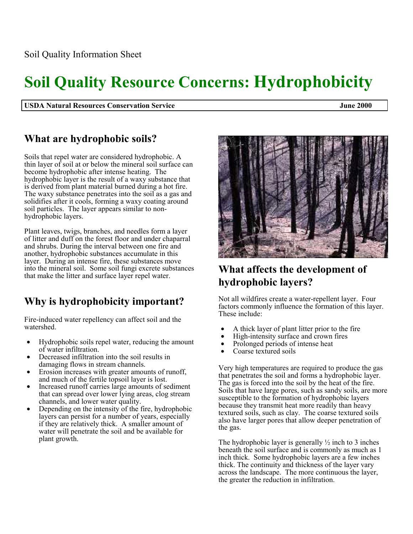# **Soil Quality Resource Concerns: Hydrophobicity**

**USDA Natural Resources Conservation Service June 2000** 

#### **What are hydrophobic soils?**

Soils that repel water are considered hydrophobic. A thin layer of soil at or below the mineral soil surface can become hydrophobic after intense heating. The hydrophobic layer is the result of a waxy substance that is derived from plant material burned during a hot fire. The waxy substance penetrates into the soil as a gas and solidifies after it cools, forming a waxy coating around soil particles. The layer appears similar to nonhydrophobic layers.

Plant leaves, twigs, branches, and needles form a layer of litter and duff on the forest floor and under chaparral and shrubs. During the interval between one fire and another, hydrophobic substances accumulate in this layer. During an intense fire, these substances move into the mineral soil. Some soil fungi excrete substances that make the litter and surface layer repel water.

## **Why is hydrophobicity important?**

Fire-induced water repellency can affect soil and the watershed.

- Hydrophobic soils repel water, reducing the amount of water infiltration.
- Decreased infiltration into the soil results in damaging flows in stream channels.
- Erosion increases with greater amounts of runoff, and much of the fertile topsoil layer is lost.
- Increased runoff carries large amounts of sediment that can spread over lower lying areas, clog stream channels, and lower water quality.
- Depending on the intensity of the fire, hydrophobic layers can persist for a number of years, especially if they are relatively thick. A smaller amount of water will penetrate the soil and be available for plant growth.



Not all wildfires create a water-repellent layer. Four factors commonly influence the formation of this layer. These include:

- A thick layer of plant litter prior to the fire
- High-intensity surface and crown fires
- Prolonged periods of intense heat
- Coarse textured soils

Very high temperatures are required to produce the gas that penetrates the soil and forms a hydrophobic layer. The gas is forced into the soil by the heat of the fire. Soils that have large pores, such as sandy soils, are more susceptible to the formation of hydrophobic layers because they transmit heat more readily than heavy textured soils, such as clay. The coarse textured soils also have larger pores that allow deeper penetration of the gas.

The hydrophobic layer is generally  $\frac{1}{2}$  inch to 3 inches beneath the soil surface and is commonly as much as 1 inch thick. Some hydrophobic layers are a few inches thick. The continuity and thickness of the layer vary across the landscape. The more continuous the layer, the greater the reduction in infiltration.